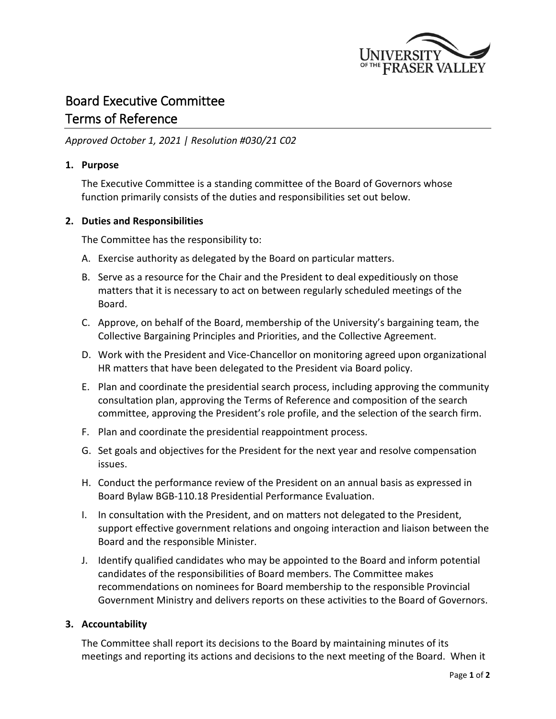

# Board Executive Committee

# Terms of Reference

# *Approved October 1, 2021 | Resolution #030/21 C02*

## **1. Purpose**

The Executive Committee is a standing committee of the Board of Governors whose function primarily consists of the duties and responsibilities set out below.

# **2. Duties and Responsibilities**

The Committee has the responsibility to:

- A. Exercise authority as delegated by the Board on particular matters.
- B. Serve as a resource for the Chair and the President to deal expeditiously on those matters that it is necessary to act on between regularly scheduled meetings of the Board.
- C. Approve, on behalf of the Board, membership of the University's bargaining team, the Collective Bargaining Principles and Priorities, and the Collective Agreement.
- D. Work with the President and Vice-Chancellor on monitoring agreed upon organizational HR matters that have been delegated to the President via Board policy.
- E. Plan and coordinate the presidential search process, including approving the community consultation plan, approving the Terms of Reference and composition of the search committee, approving the President's role profile, and the selection of the search firm.
- F. Plan and coordinate the presidential reappointment process.
- G. Set goals and objectives for the President for the next year and resolve compensation issues.
- H. Conduct the performance review of the President on an annual basis as expressed in Board Bylaw BGB-110.18 Presidential Performance Evaluation.
- I. In consultation with the President, and on matters not delegated to the President, support effective government relations and ongoing interaction and liaison between the Board and the responsible Minister.
- J. Identify qualified candidates who may be appointed to the Board and inform potential candidates of the responsibilities of Board members. The Committee makes recommendations on nominees for Board membership to the responsible Provincial Government Ministry and delivers reports on these activities to the Board of Governors.

## **3. Accountability**

The Committee shall report its decisions to the Board by maintaining minutes of its meetings and reporting its actions and decisions to the next meeting of the Board. When it